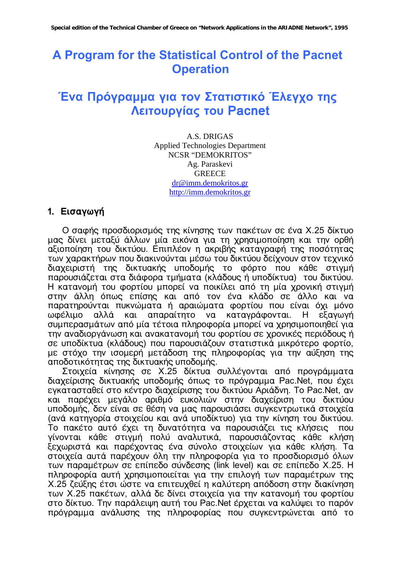# A Program for the Statistical Control of the Pacnet **Operation**

# Ένα Πρόγραμμα για τον Στατιστικό Έλεγχο της Λειτουργίας του Pacnet

A.S. DRIGAS **Applied Technologies Department** NCSR "DEMOKRITOS" Ag. Paraskevi **GREECE** dr@imm.demokritos.gr http://imm.demokritos.gr

#### 1. Εισαγωγή

Ο σαφής προσδιορισμός της κίνησης των πακέτων σε ένα Χ.25 δίκτυο μας δίνει μεταξύ άλλων μία εικόνα για τη χρησιμοποίηση και την ορθή αξιοποίηση του δικτύου. Επιπλέον η ακριβής καταγραφή της ποσότητας των χαρακτήρων που διακινούνται μέσω του δικτύου δείχνουν στον τεχνικό διαχειριστή της δικτυακής υποδομής το φόρτο που κάθε στιγμή παρουσιάζεται στα διάφορα τμήματα (κλάδους ή υποδίκτυα) του δικτύου. Η κατανομή του φορτίου μπορεί να ποικίλει από τη μία χρονική στιγμή στην άλλη όπως επίσης και από τον ένα κλάδο σε άλλο και να παρατηρούνται πυκνώματα ή αραιώματα φορτίου που είναι όχι μόνο ωφέλιμο αλλά και απαραίτητο να καταγράφονται. Η εξανωνή συμπερασμάτων από μία τέτοια πληροφορία μπορεί να χρησιμοποιηθεί για την αναδιοργάνωση και ανακατανομή του φορτίου σε χρονικές περιόδους ή σε υποδίκτυα (κλάδους) που παρουσιάζουν στατιστικά μικρότερο φορτίο, με στόχο την ισομερή μετάδοση της πληροφορίας για την αύξηση της αποδοτικότητας της δικτυακής υποδομής.

Στοιχεία κίνησης σε Χ.25 δίκτυα συλλέγονται από προγράμματα διαχείρισης δικτυακής υποδομής όπως το πρόγραμμα Pac.Net, που έχει εγκατασταθεί στο κέντρο διαχείρισης του δικτύου Αριάδνη. Το Pac.Net, αν και παρέχει μεγάλο αριθμό ευκολιών στην διαχείριση του δικτύου υποδομής, δεν είναι σε θέση να μας παρουσιάσει συγκεντρωτικά στοιχεία (ανά κατηγορία στοιχείου και ανά υποδίκτυο) για την κίνηση του δικτύου. Το πακέτο αυτό έχει τη δυνατότητα να παρουσιάζει τις κλήσεις που γίνονται κάθε στιγμή πολύ αναλυτικά, παρουσιάζοντας κάθε κλήση ξεχωριστά και παρέχοντας ένα σύνολο στοιχείων για κάθε κλήση. Τα στοιχεία αυτά παρέχουν όλη την πληροφορία για το προσδιορισμό όλων των παραμέτρων σε επίπεδο σύνδεσης (link level) και σε επίπεδο Χ.25. Η πληροφορία αυτή χρησιμοποιείται για την επιλογή των παραμέτρων της Χ.25 ζεύξης έτσι ώστε να επιτευχθεί η καλύτερη απόδοση στην διακίνηση των Χ.25 πακέτων, αλλά δε δίνει στοιχεία για την κατανομή του φορτίου στο δίκτυο. Την παράλειψη αυτή του Pac.Net έρχεται να καλύψει το παρόν πρόγραμμα ανάλυσης της πληροφορίας που συγκεντρώνεται από το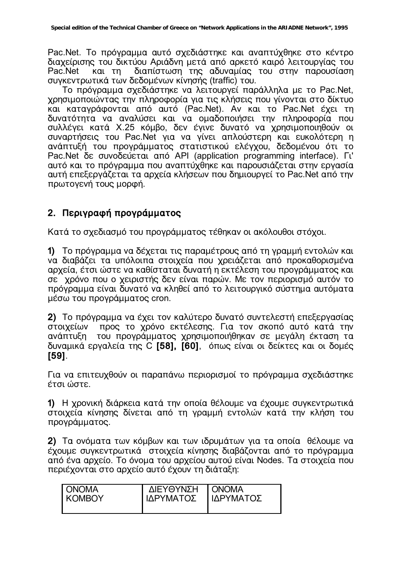Pac.Net. Το πρόγραμμα αυτό σχεδιάστηκε και αναπτύχθηκε στο κέντρο διαχείρισης του δικτύου Αριάδνη μετά από αρκετό καιρό λειτουργίας του διαπίστωση της αδυναμίας του στην παρουσίαση Pac.Net και τη συγκεντρωτικά των δεδομένων κίνησής (traffic) του.

Το πρόγραμμα σχεδιάστηκε να λειτουργεί παράλληλα με το Pac.Net, χρησιμοποιώντας την πληροφορία για τις κλήσεις που γίνονται στο δίκτυο και καταγράφονται από αυτό (Pac.Net). Αν και το Pac.Net έχει τη δυνατότητα να αναλύσει και να ομαδοποιήσει την πληροφορία που συλλέγει κατά Χ.25 κόμβο, δεν έγινε δυνατό να χρησιμοποιηθούν οι συναρτήσεις του Pac.Net για να γίνει απλούστερη και ευκολότερη η ανάπτυξή του προγράμματος στατιστικού ελέγχου, δεδομένου ότι το Pac.Net δε συνοδεύεται από API (application programming interface). Γι' αυτό και το πρόγραμμα που αναπτύχθηκε και παρουσιάζεται στην εργασία αυτή επεξεργάζεται τα αρχεία κλήσεων που δημιουργεί το Pac.Net από την πρωτογενή τους μορφή.

# 2. Περιγραφή προγράμματος

Κατά το σχεδιασμό του προγράμματος τέθηκαν οι ακόλουθοι στόχοι.

1) Το πρόγραμμα να δέχεται τις παραμέτρους από τη γραμμή εντολών και να διαβάζει τα υπόλοιπα στοιχεία που χρειάζεται από προκαθορισμένα αργεία, έτσι ώστε να καθίσταται δυνατή η εκτέλεση του προνράμματος και σε χρόνο που ο χειριστής δεν είναι παρών. Με τον περιορισμό αυτόν το πρόγραμμα είναι δυνατό να κληθεί από το λειτουργικό σύστημα αυτόματα μέσω του προγράμματος cron.

2) Το πρόγραμμα να έχει τον καλύτερο δυνατό συντελεστή επεξεργασίας προς το χρόνο εκτέλεσης. Για τον σκοπό αυτό κατά την στοιχείων ανάπτυξη του προγράμματος χρησιμοποιήθηκαν σε μεγάλη έκταση τα δυναμικά εργαλεία της C [58], [60], όπως είναι οι δείκτες και οι δομές **1591.** 

Για να επιτευχθούν οι παραπάνω περιορισμοί το πρόγραμμα σχεδιάστηκε έτσι ώστε.

1) Η χρονική διάρκεια κατά την οποία θέλουμε να έχουμε συγκεντρωτικά στοιχεία κίνησης δίνεται από τη γραμμή εντολών κατά την κλήση του προγράμματος.

2) Τα ονόματα των κόμβων και των ιδρυμάτων για τα οποία θέλουμε να έχουμε συγκεντρωτικά στοιχεία κίνησης διαβάζονται από το πρόγραμμα από ένα αρχείο. Το όνομα του αρχείου αυτού είναι Nodes. Τα στοιχεία που περιέχονται στο αρχείο αυτό έχουν τη διάταξη:

| <b>ONOMA</b>    | ΔΙΕΥΘΥΝΣΗ | <b>I ONOMA</b> |
|-----------------|-----------|----------------|
| <b>I KOMBOY</b> | ΙΔΡΥΜΑΤΟΣ | ΙΔΡΥΜΑΤΟΣ      |
|                 |           |                |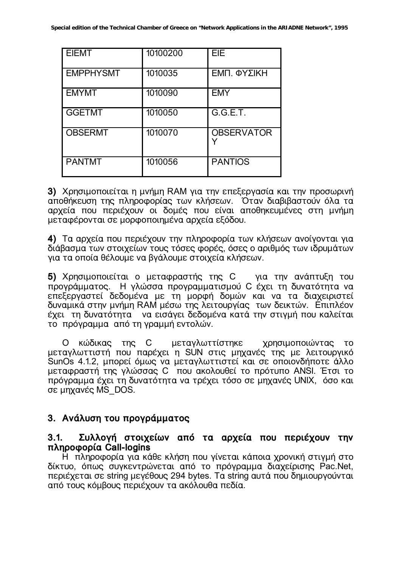| <b>EIEMT</b>     | 10100200 | EIE               |
|------------------|----------|-------------------|
| <b>EMPPHYSMT</b> | 1010035  | ΕΜΠ. ΦΥΣΙΚΗ       |
| <b>EMYMT</b>     | 1010090  | <b>EMY</b>        |
| <b>GGETMT</b>    | 1010050  | G.G.E.T.          |
| <b>OBSERMT</b>   | 1010070  | <b>OBSERVATOR</b> |
| <b>PANTMT</b>    | 1010056  | <b>PANTIOS</b>    |

3) Χρησιμοποιείται η μνήμη RAM για την επεξεργασία και την προσωρινή αποθήκευση της πληροφορίας των κλήσεων. Όταν διαβιβαστούν όλα τα αρχεία που περιέχουν οι δομές που είναι αποθηκευμένες στη μνήμη μεταφέρονται σε μορφοποιημένα αρχεία εξόδου.

4) Τα αρχεία που περιέχουν την πληροφορία των κλήσεων ανοίγονται για διάβασμα των στοιχείων τους τόσες φορές, όσες ο αριθμός των ιδρυμάτων για τα οποία θέλουμε να βγάλουμε στοιχεία κλήσεων.

5) Χρησιμοποιείται ο μεταφραστής της C για την ανάπτυξη του προγράμματος. Η γλώσσα προγραμματισμού C έχει τη δυνατότητα να επεξεργαστεί δεδομένα με τη μορφή δομών και να τα διαχειριστεί δυναμικά στην μνήμη RAM μέσω της λειτουργίας των δεικτών. Επιπλέον έχει τη δυνατότητα να εισάγει δεδομένα κατά την στιγμή που καλείται το πρόγραμμα από τη γραμμή εντολών.

Ο κώδικας της C μεταγλωττίστηκε χρησιμοποιώντας το μεταγλωττιστή που παρέχει η SUN στις μηχανές της με λειτουργικό SunOs 4.1.2, μπορεί όμως να μεταγλωττιστεί και σε οποιονδήποτε άλλο μεταφραστή της γλώσσας C που ακολουθεί το πρότυπο ANSI. Έτσι το πρόγραμμα έχει τη δυνατότητα να τρέχει τόσο σε μηχανές UNIX, όσο και σε μηχανές MS DOS.

# 3. Ανάλυση του προγράμματος

#### Συλλογή στοιχείων από τα αρχεία που περιέχουν την  $3.1.$ πληροφορία Call-logins

Η πληροφορία για κάθε κλήση που γίνεται κάποια χρονική στιγμή στο δίκτυο, όπως συγκεντρώνεται από το πρόγραμμα διαχείρισης Pac.Net, περιέχεται σε string μεγέθους 294 bytes. Τα string αυτά που δημιουργούνται από τους κόμβους περιέχουν τα ακόλουθα πεδία.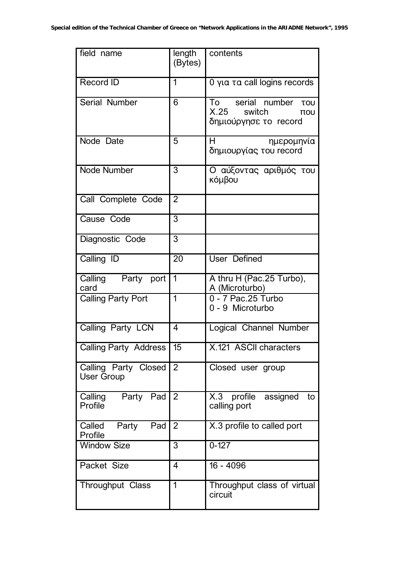| field name                                | length<br>(Bytes) | contents                                                                            |
|-------------------------------------------|-------------------|-------------------------------------------------------------------------------------|
| Record ID                                 | 1                 | 0 για τα call logins records                                                        |
| Serial Number                             | 6                 | To serial number Tou<br>X.25<br>switch<br>$\overline{100}$<br>δημιούργησε το record |
| Node Date                                 | 5                 | H<br>ημερομηνία<br>δημιουργίας του record                                           |
| Node Number                               | 3                 | Ο αύξοντας αριθμός του<br>κόμβου                                                    |
| Call Complete Code                        | $\overline{2}$    |                                                                                     |
| Cause Code                                | $\overline{3}$    |                                                                                     |
| Diagnostic Code                           | $\overline{3}$    |                                                                                     |
| Calling ID                                | 20                | <b>User Defined</b>                                                                 |
| Calling Party port<br>card                | $\overline{1}$    | A thru H (Pac.25 Turbo),<br>A (Microturbo)                                          |
| <b>Calling Party Port</b>                 | $\overline{1}$    | 0 - 7 Pac.25 Turbo<br>0 - 9 Microturbo                                              |
| Calling Party LCN                         | 4                 | Logical Channel Number                                                              |
| <b>Calling Party Address</b>              | $\overline{15}$   | X.121 ASCII characters                                                              |
| Calling Party Closed<br><b>User Group</b> | $\overline{2}$    | Closed user group                                                                   |
| Calling Party Pad<br>Profile              | 2                 | X.3 profile assigned<br>to<br>calling port                                          |
| Pad<br>Called Party<br>Profile            | 2                 | X.3 profile to called port                                                          |
| <b>Window Size</b>                        | 3                 | $0 - 127$                                                                           |
| Packet Size                               | $\overline{4}$    | $16 - 4096$                                                                         |
| Throughput Class                          | 1                 | Throughput class of virtual<br>circuit                                              |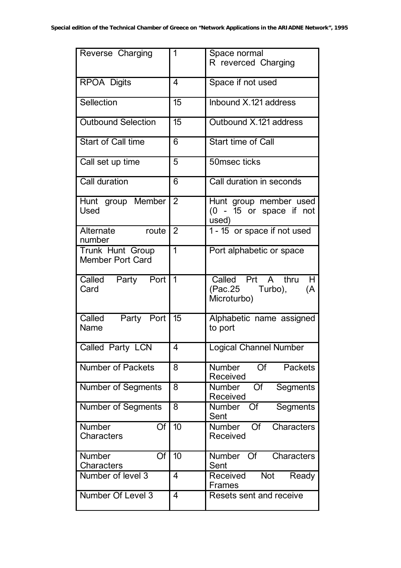| Reverse Charging                            | 1               | Space normal                                                   |
|---------------------------------------------|-----------------|----------------------------------------------------------------|
|                                             |                 | R reverced Charging                                            |
| <b>RPOA Digits</b>                          | $\overline{4}$  | Space if not used                                              |
| Sellection                                  | $\overline{15}$ | Inbound X.121 address                                          |
| <b>Outbound Selection</b>                   | $\overline{15}$ | Outbound X.121 address                                         |
| <b>Start of Call time</b>                   | 6               | <b>Start time of Call</b>                                      |
| Call set up time                            | 5               | 50msec ticks                                                   |
| Call duration                               | $\overline{6}$  | Call duration in seconds                                       |
| Hunt group Member<br>Used                   | $\overline{2}$  | Hunt group member used<br>$(0 - 15)$ or space if not<br>used)  |
| Alternate<br>route<br>number                | $\overline{2}$  | 1 - 15 or space if not used                                    |
| Trunk Hunt Group<br><b>Member Port Card</b> | $\overline{1}$  | Port alphabetic or space                                       |
| Called Party Port<br>Card                   | $\vert$ 1       | Called Prt A thru<br>H<br>(Pac.25 Turbo),<br>(A<br>Microturbo) |
| Party Port 15<br>Called<br><b>Name</b>      |                 | Alphabetic name assigned<br>to port                            |
| Called Party LCN                            | $\overline{4}$  | Logical Channel Number                                         |
| <b>Number of Packets</b>                    | 8               | Of<br><b>Number</b><br><b>Packets</b><br>Received              |
| <b>Number of Segments</b>                   | 8               | <b>Number</b><br>Of<br>Segments<br>Received                    |
| <b>Number of Segments</b>                   | 8               | Segments<br>Number Of<br>Sent                                  |
| <b>Number</b><br>Of<br><b>Characters</b>    | 10              | <b>Characters</b><br><b>Number</b><br><b>Of</b><br>Received    |
| Of<br><b>Number</b><br>Characters           | 10              | Number Of<br><b>Characters</b><br>Sent                         |
| Number of level 3                           | $\overline{4}$  | Not<br>Received<br>Ready<br>Frames                             |
| Number Of Level 3                           | $\overline{4}$  | Resets sent and receive                                        |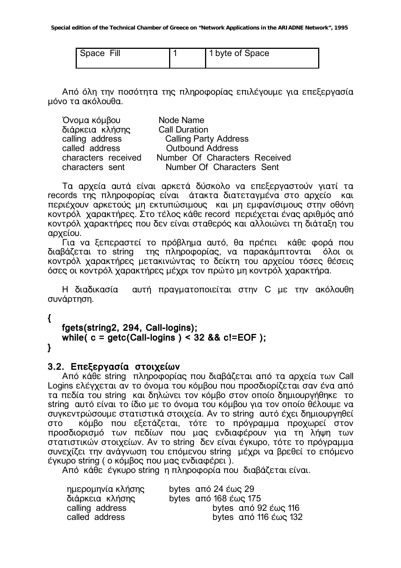| Space Fill | 1 byte of Space |
|------------|-----------------|
|            |                 |

Από όλη την ποσότητα της πληροφορίας επιλέγουμε για επεξεργασία μόνο τα ακόλουθα.

| Όνομα κόμβου        | Node Name                     |
|---------------------|-------------------------------|
| διάρκεια κλήσης     | <b>Call Duration</b>          |
| calling address     | <b>Calling Party Address</b>  |
| called address      | <b>Outbound Address</b>       |
| characters received | Number Of Characters Received |
| characters sent     | Number Of Characters Sent     |

Τα αρχεία αυτά είναι αρκετά δύσκολο να επεξεργαστούν γιατί τα records της πληροφορίας είναι άτακτα διατετανμένα στο αρχείο και περιέχουν αρκετούς μη εκτυπώσιμους και μη εμφανίσιμους στην οθόνη κοντρόλ χαρακτήρες. Στο τέλος κάθε record περιέχεται ένας αριθμός από κοντρόλ χαρακτήρες που δεν είναι σταθερός και αλλοιώνει τη διάταξη του αρχείου.

Για να ξεπεραστεί το πρόβλημα αυτό, θα πρέπει κάθε φορά που διαβάζεται το string της πληροφορίας, να παρακάμπτονται όλοι οι κοντρόλ χαρακτήρες μετακινώντας το δείκτη του αρχείου τόσες θέσεις όσες οι κοντρόλ χαρακτήρες μέχρι τον πρώτο μη κοντρόλ χαρακτήρα.

αυτή πραγματοποιείται στην C με την ακόλουθη Η διαδικασία συνάρτηση.

 $\left\{ \right.$ 

 $\mathbf{A}$ 

```
fgets(string2, 294, Call-logins);
while(c = getc(Call-logins) < 32 && c!=EOF);
```
# 3.2. Επεξεργασία στοιχείων

Από κάθε string πληροφορίας που διαβάζεται από τα αρχεία των Call Logins ελέγχεται αν το όνομα του κόμβου που προσδιορίζεται σαν ένα από τα πεδία του string και δηλώνει τον κόμβο στον οποίο δημιουργήθηκε το string αυτό είναι το ίδιο με το όνομα του κόμβου για τον οποίο θέλουμε να συγκεντρώσουμε στατιστικά στοιχεία. Αν το string αυτό έχει δημιουργηθεί κόμβο που εξετάζεται, τότε το πρόγραμμα προχωρεί στον στο προσδιορισμό των πεδίων που μας ενδιαφέρουν νια τη λήψη των στατιστικών στοιχείων. Αν το string δεν είναι έγκυρο, τότε το πρόγραμμα συνεχίζει την ανάγνωση του επόμενου string μέχρι να βρεθεί το επόμενο έγκυρο string (ο κόμβος που μας ενδιαφέρει).

Από κάθε έγκυρο string η πληροφορία που διαβάζεται είναι.

| bytes από 92 έως 116  |
|-----------------------|
| bytes από 116 έως 132 |
|                       |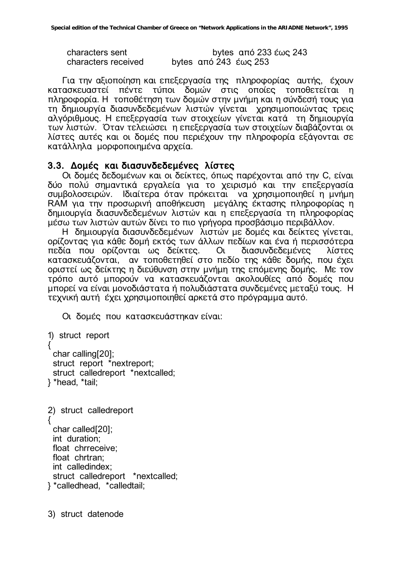characters sent bytes από 233 έως 243 characters received bytes  $\alpha$  bytes  $\alpha$  243  $\epsilon \omega$  253

Για την αξιοποίηση και επεξεργασία της πληροφορίας αυτής, έχουν Kατασκευαστεί πέντε τύποι δομών στις οποίες τοποθετείται η πληροφορία. Η τοποθέτηση των δομών στην μνήμη και η σύνδεσή τους για <u>ιο δημιουργία διασυνδεδεμένων λιστών γίνεται</u> χρησιμοποιώντας τρεις αλγόριθμους. Η επεξεργασία των στοιχείων γίνεται κατά τη δημιουργία των λιστών. Όταν τελειώσει η επεξεργασία των στοιχείων διαβάζονται οι λίστες αυτές και οι δομές που περιέχουν την πληροφορία εξάγονται σε κατάλληλα μορφοποιημένα αρχεία.

#### 3.3. Δομές και διασυνδεδεμένες λίστες

Οι δομές δεδομένων και οι δείκτες, όπως παρέχονται από την C, είναι δύο πολύ σημαντικά εργαλεία για το χειρισμό και την επεξεργασία συμβολοσειρών. Ιδιαίτερα όταν πρόκειται να χρησιμοποιηθεί η μνήμη RAM για την προσωρινή αποθήκευση μεγάλης έκτασης πληροφορίας η δημιουργία διασυνδεδεμένων λιστών και η επεξεργασία τη πληροφορίας μέσω των λιστών αυτών δίνει το πιο γρήγορα προσβάσιμο περιβάλλον.

Η δημιουργία διασυνδεδεμένων λιστών με δομές και δείκτες γίνεται, ορίζοντας για κάθε δομή εκτός των άλλων πεδίων και ένα ή περισσότερα πεδία που ορίζονται ως δείκτες. Οι διασυνδεδεμένες λίστες κατασκευάζονται, αν τοποθετηθεί στο πεδίο της κάθε δομής, που έχει οριστεί ως δείκτης η διεύθυνση στην μνήμη της επόμενης δομής. Με τον τρόπο αυτό μπορούν να κατασκευάζονται ακολουθίες από δομές που μπορεί να είναι μονοδιάστατα ή πολυδιάστατα συνδεμένες μεταξύ τους. Η τεχνική αυτή έχει χρησιμοποιηθεί αρκετά στο πρόγραμμα αυτό.

Οι δομές που κατασκευάστηκαν είναι:

```
1) struct report 
{<br>}
  char calling[20]; 
  struct report *nextreport; 
  struct calledreport *nextcalled; 
} *head, *tail;
```

```
2) struct calledreport 
{
  char called[20]; 
  int duration; 
  float chrreceive; 
  float chrtran; 
  int calledindex; 
  struct calledreport *nextcalled; 
} *calledhead, *calledtail;
```
3) struct datenode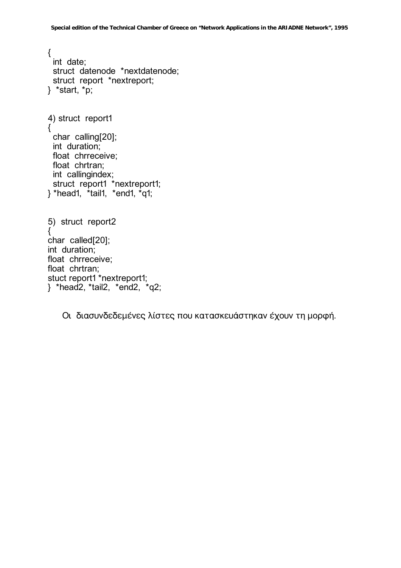$\{$ int date: struct datenode \*nextdatenode; struct report \*nextreport;  $\}$  \*start, \*p; 4) struct report1 { char calling[20]; int duration; float chrreceive; float chrtran; int callingindex; struct report1 \*nextreport1;<br>} \*head1, \*tail1, \*end1, \*q1; 5) struct report2 { char called[20]; int duration; float chrreceive: float chrtran; stuct report1 \*nextreport1;

} \*head2, \*tail2, \*end2, \*q2;

Οι διασυνδεδεμένες λίστες που κατασκευάστηκαν έχουν τη μορφή.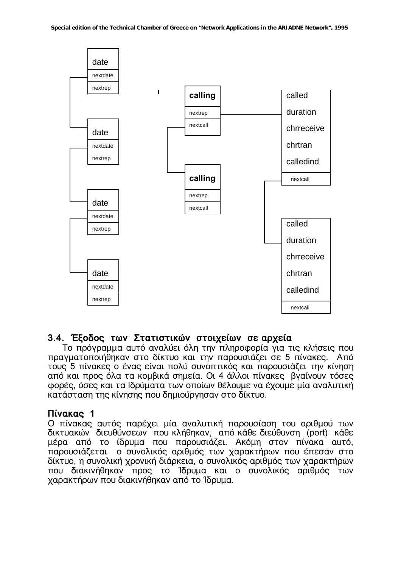

#### 3.4. Έξοδος των Στατιστικών στοιχείων σε αρχεία

Το πρόγραμμα αυτό αναλύει όλη την πληροφορία για τις κλήσεις που πραγματοποιήθηκαν στο δίκτυο και την παρουσιάζει σε 5 πίνακες. Από τους 5 πίνακες ο ένας είναι πολύ συνοπτικός και παρουσιάζει την κίνηση από και προς όλα τα κομβικά σημεία. Οι 4 άλλοι πίνακες βγαίνουν τόσες φορές, όσες και τα Ιδρύματα των οποίων θέλουμε να έχουμε μία αναλυτική κατάσταση της κίνησης που δημιούργησαν στο δίκτυο.

# Πίνακας 1

Ο πίνακας αυτός παρέχει μία αναλυτική παρουσίαση του αριθμού των δικτυακών διευθύνσεων που κλήθηκαν, από κάθε διεύθυνση (port) κάθε μέρα από το ίδρυμα που παρουσιάζει. Ακόμη στον πίνακα αυτό, παρουσιάζεται ο συνολικός αριθμός των χαρακτήρων που έπεσαν στο δίκτυο, η συνολική χρονική διάρκεια, ο συνολικός αριθμός των χαρακτήρων που διακινήθηκαν προς το Ίδρυμα και ο συνολικός αριθμός των χαρακτήρων που διακινήθηκαν από το Ίδρυμα.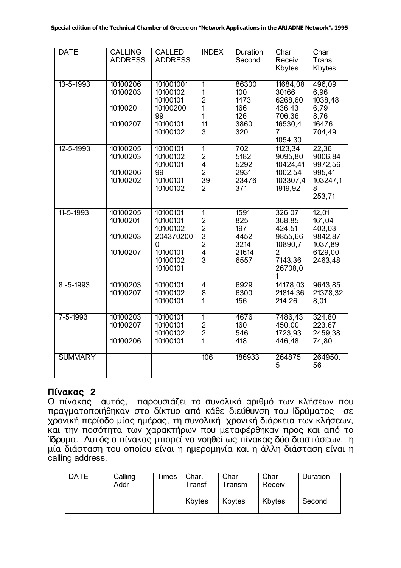| <b>DATE</b>     | <b>CALLING</b><br><b>ADDRESS</b>             | <b>CALLED</b><br><b>ADDRESS</b>                                                        | <b>INDEX</b>                                                                                          | <b>Duration</b><br>Second                           | Char<br>Receiv<br>Kbytes                                                                      | Char<br><b>Trans</b><br>Kbytes                                        |
|-----------------|----------------------------------------------|----------------------------------------------------------------------------------------|-------------------------------------------------------------------------------------------------------|-----------------------------------------------------|-----------------------------------------------------------------------------------------------|-----------------------------------------------------------------------|
| 13-5-1993       | 10100206<br>10100203<br>1010020<br>10100207  | 101001001<br>10100102<br>10100101<br>10100200<br>99<br>10100101<br>10100102            | $\overline{1}$<br>1<br>$\overline{2}$<br>$\mathbf 1$<br>$\mathbf{1}$<br>11<br>3                       | 86300<br>100<br>1473<br>166<br>126<br>3860<br>320   | 11684,08<br>30166<br>6268,60<br>436,43<br>706,36<br>16530,4<br>7<br>1054,30                   | 496,09<br>6,96<br>1038,48<br>6,79<br>8,76<br>16476<br>704,49          |
| $12 - 5 - 1993$ | 10100205<br>10100203<br>10100206<br>10100202 | 10100101<br>10100102<br>10100101<br>99<br>10100101<br>10100102                         | $\overline{1}$<br>$\overline{2}$<br>$\overline{\mathbf{4}}$<br>$\overline{2}$<br>39<br>$\overline{2}$ | 702<br>5182<br>5292<br>2931<br>23476<br>371         | 1123,34<br>9095,80<br>10424,41<br>1002,54<br>103307,4<br>1919,92                              | 22,36<br>9006,84<br>9972,56<br>995,41<br>103247,1<br>8<br>253,71      |
| $11 - 5 - 1993$ | 10100205<br>10100201<br>10100203<br>10100207 | 10100101<br>10100101<br>10100102<br>204370200<br>0<br>10100101<br>10100102<br>10100101 | $\overline{1}$<br>$\frac{2}{2}$<br>3<br>$\overline{2}$<br>$\overline{\mathbf{4}}$<br>3                | 1591<br>825<br>197<br>4452<br>3214<br>21614<br>6557 | 326,07<br>368,85<br>424,51<br>9855,66<br>10890,7<br>$\overline{2}$<br>7143,36<br>26708,0<br>1 | 12,01<br>161,04<br>403,03<br>9842,87<br>1037,89<br>6129,00<br>2463,48 |
| $8 - 5 - 1993$  | 10100203<br>10100207                         | 10100101<br>10100102<br>10100101                                                       | $\overline{4}$<br>8<br>$\mathbf{1}$                                                                   | 6929<br>6300<br>156                                 | 14178,03<br>21814,36<br>214,26                                                                | 9643,85<br>21378,32<br>8,01                                           |
| $7 - 5 - 1993$  | 10100203<br>10100207<br>10100206             | 10100101<br>10100101<br>10100102<br>10100101                                           | $\overline{1}$<br>$\overline{2}$<br>$\overline{c}$<br>$\mathbf{1}$                                    | 4676<br>160<br>546<br>418                           | 7486,43<br>450,00<br>1723,93<br>446,48                                                        | 324,80<br>223,67<br>2459,38<br>74,80                                  |
| <b>SUMMARY</b>  |                                              |                                                                                        | 106                                                                                                   | 186933                                              | 264875.<br>5                                                                                  | 264950.<br>56                                                         |

# **Πίνακας 2**

Ο πίνακας αυτός, παρουσιάζει το συνολικό αριθμό των κλήσεων που πραγματοποιήθηκαν στο δίκτυο από κάθε διεύθυνση του Ιδρύματος σε χρονική περίοδο μίας ημέρας, τη συνολική χρονική διάρκεια των κλήσεων, Και την ποσότητα των χαρακτήρων που μεταφέρθηκαν προς και από το Ίδρυμα. Αυτός ο πίνακας μπορεί να νοηθεί ως πίνακας δύο διαστάσεων, η μία διάσταση του οποίου είναι η ημερομηνία και η άλλη διάσταση είναι η calling address.

| <b>DATE</b> | Calling<br>Addr | Times   Char. | Transf | Char<br>Transm | Char<br>Receiv | Duration |
|-------------|-----------------|---------------|--------|----------------|----------------|----------|
|             |                 |               | Kbytes | Kbytes         | Kbytes         | Second   |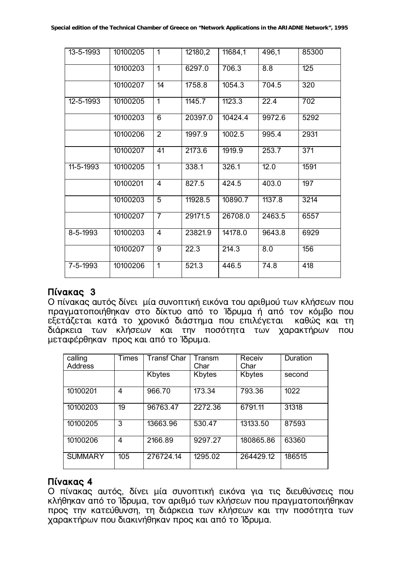| 13-5-1993 | 10100205 | $\mathbf{1}$    | 12180,2 | 11684,1 | 496,1  | 85300            |
|-----------|----------|-----------------|---------|---------|--------|------------------|
|           | 10100203 | $\overline{1}$  | 6297.0  | 706.3   | 8.8    | $\overline{125}$ |
|           | 10100207 | 14              | 1758.8  | 1054.3  | 704.5  | 320              |
| 12-5-1993 | 10100205 | $\overline{1}$  | 1145.7  | 1123.3  | 22.4   | 702              |
|           | 10100203 | $\overline{6}$  | 20397.0 | 10424.4 | 9972.6 | 5292             |
|           | 10100206 | $\overline{2}$  | 1997.9  | 1002.5  | 995.4  | 2931             |
|           | 10100207 | $\overline{41}$ | 2173.6  | 1919.9  | 253.7  | $\overline{371}$ |
| 11-5-1993 | 10100205 | $\overline{1}$  | 338.1   | 326.1   | 12.0   | 1591             |
|           | 10100201 | $\overline{4}$  | 827.5   | 424.5   | 403.0  | 197              |
|           | 10100203 | $\overline{5}$  | 11928.5 | 10890.7 | 1137.8 | 3214             |
|           | 10100207 | $\overline{7}$  | 29171.5 | 26708.0 | 2463.5 | 6557             |
| 8-5-1993  | 10100203 | 4               | 23821.9 | 14178.0 | 9643.8 | 6929             |
|           | 10100207 | 9               | 22.3    | 214.3   | 8.0    | 156              |
| 7-5-1993  | 10100206 | $\overline{1}$  | 521.3   | 446.5   | 74.8   | 418              |

#### **Πίνακας 3**

Ο πίνακας αυτός δίνει μία συνοπτική εικόνα του αριθμού των κλήσεων που πραγματοποιήθηκαν στο δίκτυο από το Ίδρυμα ή από τον κόμβο που εξετάζεται κατά το χρονικό διάστημα που επιλέγεται καθώς και τη διάρκεια των κλήσεων και την ποσότητα των χαρακτήρων που μεταφέρθηκαν προς και από το Ίδρυμα.

| calling<br><b>Address</b> | <b>Times</b> | <b>Transf Char</b> | Transm<br>Char | Receiv<br>Char | Duration |
|---------------------------|--------------|--------------------|----------------|----------------|----------|
|                           |              | Kbytes             | Kbytes         | Kbytes         | second   |
| 10100201                  | 4            | 966.70             | 173.34         | 793.36         | 1022     |
| 10100203                  | 19           | 96763.47           | 2272.36        | 6791.11        | 31318    |
| 10100205                  | 3            | 13663.96           | 530.47         | 13133.50       | 87593    |
| 10100206                  | 4            | 2166.89            | 9297.27        | 180865.86      | 63360    |
| <b>SUMMARY</b>            | 105          | 276724.14          | 1295.02        | 264429.12      | 186515   |

# Πίνακας 4

Ο πίνακας αυτός, δίνει μία συνοπτική εικόνα για τις διευθύνσεις που κλήθηκαν από το Ίδρυμα, τον αριθμό των κλήσεων που πραγματοποιήθηκαν προς την κατεύθυνση, τη διάρκεια των κλήσεων και την ποσότητα των χαρακτήρων που διακινήθηκαν προς και από το Ίδρυμα.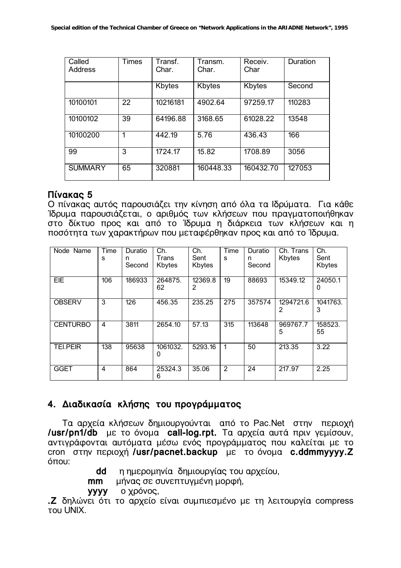| Called<br>Address | <b>Times</b> | Transf.<br>Char. | Transm.<br>Char. | Receiv.<br>Char | Duration |
|-------------------|--------------|------------------|------------------|-----------------|----------|
|                   |              | Kbytes           | Kbytes           | Kbytes          | Second   |
| 10100101          | 22           | 10216181         | 4902.64          | 97259.17        | 110283   |
| 10100102          | 39           | 64196.88         | 3168.65          | 61028.22        | 13548    |
| 10100200          | 1            | 442.19           | 5.76             | 436.43          | 166      |
| 99                | 3            | 1724.17          | 15.82            | 1708.89         | 3056     |
| <b>SUMMARY</b>    | 65           | 320881           | 160448.33        | 160432.70       | 127053   |

#### Πίνακας 5

Ο πίνακας αυτός παρουσιάζει την κίνηση από όλα τα Ιδρύματα. Για κάθε Ίδρυμα παρουσιάζεται, ο αριθμός των κλήσεων που πραγματοποιήθηκαν στο δίκτυο προς και από το Ίδρυμα η διάρκεια των κλήσεων και η ποσότητα των χαρακτήρων που μεταφέρθηκαν προς και από το Ίδρυμα.

| Name<br>Node    | Time<br>s               | Duratio<br>n<br>Second | Ch.<br>Trans<br>Kbytes | Ch.<br>Sent<br>Kbytes | Time<br>S        | Duratio<br>n<br>Second | Ch. Trans<br>Kbytes | Ch.<br>Sent<br>Kbytes |
|-----------------|-------------------------|------------------------|------------------------|-----------------------|------------------|------------------------|---------------------|-----------------------|
| EIE             | 106                     | 186933                 | 264875.<br>62          | 12369.8<br>2          | 19               | 88693                  | 15349.12            | 24050.1<br>0          |
| <b>OBSERV</b>   | 3                       | 126                    | 456.35                 | 235.25                | $\overline{275}$ | 357574                 | 1294721.6<br>2      | 1041763.<br>3         |
| <b>CENTURBO</b> | 4                       | 3811                   | 2654.10                | 57.13                 | 315              | 113648                 | 969767.7<br>5       | 158523.<br>55         |
| <b>TEI.PEIR</b> | 138                     | 95638                  | 1061032.<br>0          | 5293.16               | 1                | 50                     | 213.35              | 3.22                  |
| <b>GGET</b>     | $\overline{\mathbf{4}}$ | 864                    | 25324.3<br>6           | 35.06                 | 2                | 24                     | 217.97              | 2.25                  |

# 4. Διαδικασία κλήσης του προγράμματος

Τα αρχεία κλήσεων δημιουργούνται από το Pac.Net στην περιοχή /usr/pn1/db με το όνομα call-log.rpt. Τα αρχεία αυτά πριν γεμίσουν, αντιγράφονται αυτόματα μέσω ενός προγράμματος που καλείται με το cron στην περιοχή /usr/pacnet.backup με το όνομα c.ddmmyyyy.Z όπου:

- η ημερομηνία δημιουργίας του αρχείου, dd
- μήνας σε συνεπτυγμένη μορφή,  $mm$
- ο χρόνος, **VVVV**

.Ζ δηλώνει ότι το αρχείο είναι συμπιεσμένο με τη λειτουργία compress **TOU UNIX**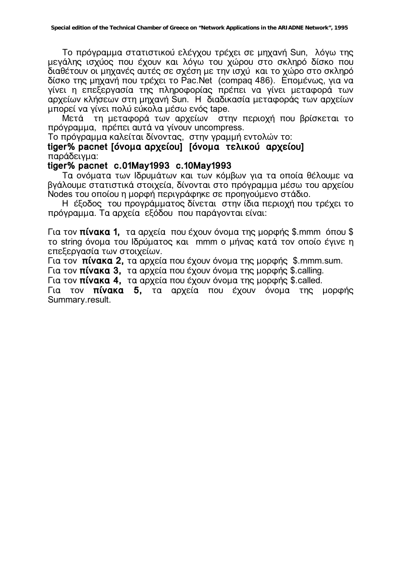Το πρόγραμμα στατιστικού ελέγχου τρέχει σε μηχανή Sun, λόγω της μεγάλης ισχύος που έχουν και λόγω του χώρου στο σκληρό δίσκο που διαθέτουν οι μηχανές αυτές σε σχέση με την ισχύ και το χώρο στο σκληρό δίσκο της μηχανή που τρέχει το Pac.Net (compaq 486). Επομένως, για να γίνει η επεξεργασία της πληροφορίας πρέπει να γίνει μεταφορά των αρχείων κλήσεων στη μηχανή Sun. Η διαδικασία μεταφοράς των αρχείων μπορεί να γίνει πολύ εύκολα μέσω ενός tape.

Mετά τη μεταφορά των αρχείων στην περιοχή που βρίσκεται το πρόγραμμα, πρέπει αυτά να γίνουν uncompress.

Το πρόγραμμα καλείται δίνοντας, στην γραμμή εντολών το:

tiger% pacnet **[όνομα αρχείου] [όνομα τελικού αρχείου]** παράδειγμα:

#### **tiger% pacnet c.01May1993 c.10May1993**

Τα ονόματα των Ιδρυμάτων και των κόμβων για τα οποία θέλουμε να Bνάλουμε στατιστικά στοιχεία. δίνονται στο πρόνραμμα μέσω του αρχείου Nodes του οποίου η μορφή περιγράφηκε σε προηγούμενο στάδιο.

Η έξοδος του προγράμματος δίνεται στην ίδια περιοχή που τρέχει το πρόγραμμα. Τα αρχεία εξόδου που παράγονται είναι:

Για τον **πίνακα 1.** τα αρχεία που έχουν όνομα της μορφής \$.mmm όπου \$ το string όνομα του Ιδρύματος και mmm ο μήνας κατά τον οποίο έγινε η επεξερνασία των στοιχείων.

Για τον **πίνακα 2,** τα αρχεία που έχουν όνομα της μορφής \$.mmm.sum.

Για τον πίνακα 3, τα αρχεία που έχουν όνομα της μορφής \$.calling.

Για τον **πίνακα 4,** τα αρχεία που έχουν όνομα της μορφής \$.called.

Για τον **πίνακα 5**, τα αρχεία που έχουν όνομα της μορφής Summary.result.